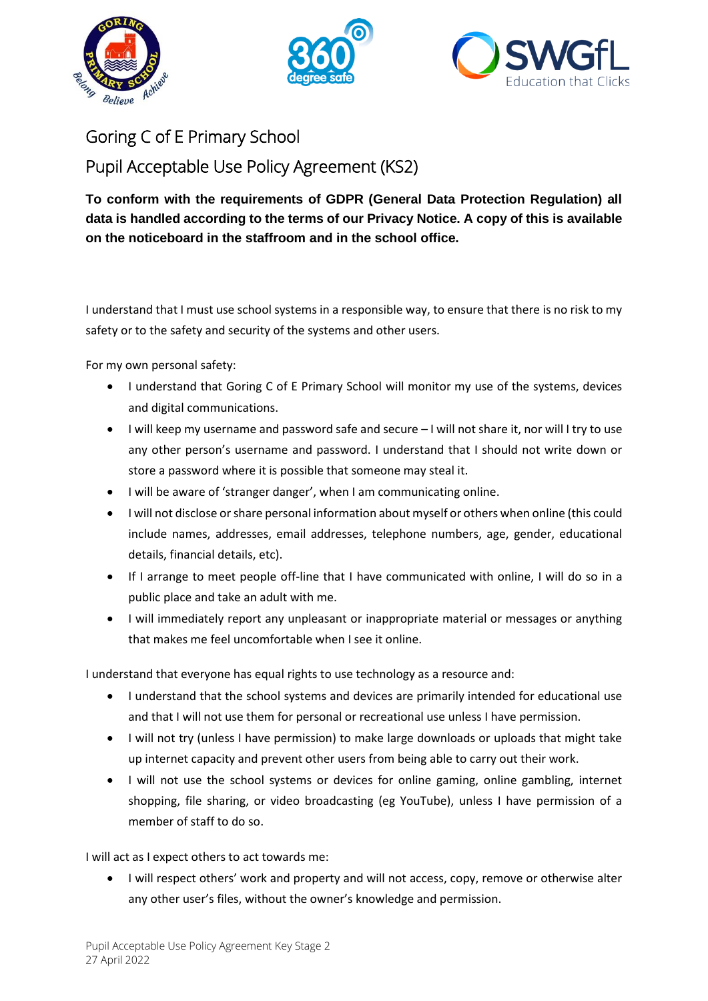





## Goring C of E Primary School Pupil Acceptable Use Policy Agreement (KS2)

## **To conform with the requirements of GDPR (General Data Protection Regulation) all data is handled according to the terms of our Privacy Notice. A copy of this is available on the noticeboard in the staffroom and in the school office.**

I understand that I must use school systems in a responsible way, to ensure that there is no risk to my safety or to the safety and security of the systems and other users.

For my own personal safety:

- I understand that Goring C of E Primary School will monitor my use of the systems, devices and digital communications.
- I will keep my username and password safe and secure I will not share it, nor will I try to use any other person's username and password. I understand that I should not write down or store a password where it is possible that someone may steal it.
- I will be aware of 'stranger danger', when I am communicating online.
- I will not disclose or share personal information about myself or others when online (this could include names, addresses, email addresses, telephone numbers, age, gender, educational details, financial details, etc).
- If I arrange to meet people off-line that I have communicated with online, I will do so in a public place and take an adult with me.
- I will immediately report any unpleasant or inappropriate material or messages or anything that makes me feel uncomfortable when I see it online.

I understand that everyone has equal rights to use technology as a resource and:

- I understand that the school systems and devices are primarily intended for educational use and that I will not use them for personal or recreational use unless I have permission.
- I will not try (unless I have permission) to make large downloads or uploads that might take up internet capacity and prevent other users from being able to carry out their work.
- I will not use the school systems or devices for online gaming, online gambling, internet shopping, file sharing, or video broadcasting (eg YouTube), unless I have permission of a member of staff to do so.

I will act as I expect others to act towards me:

• I will respect others' work and property and will not access, copy, remove or otherwise alter any other user's files, without the owner's knowledge and permission.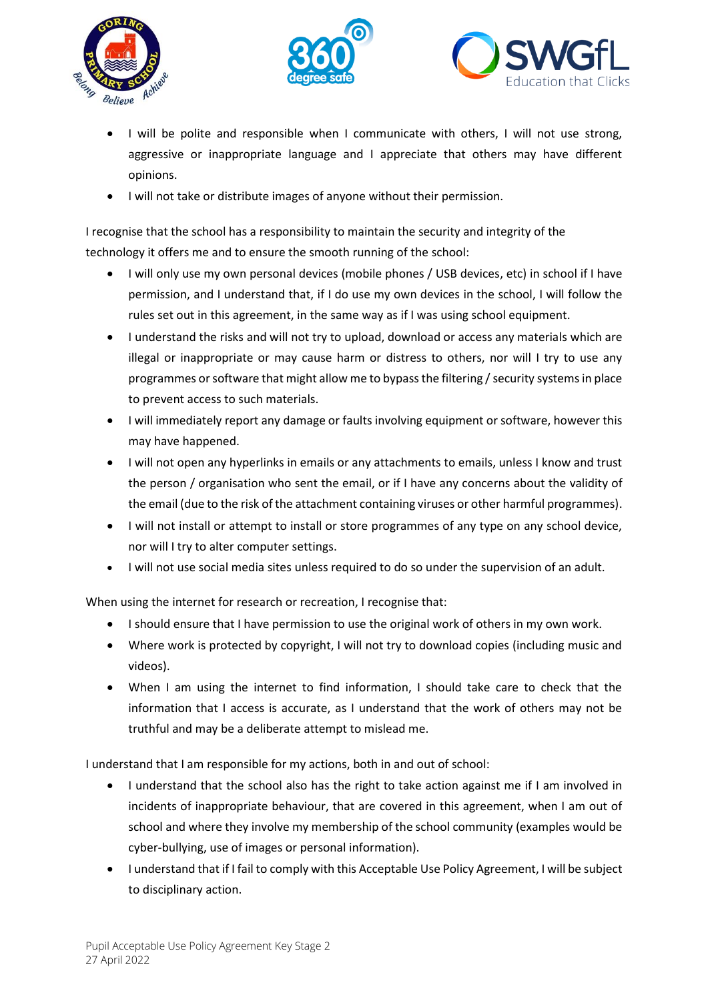





- I will be polite and responsible when I communicate with others, I will not use strong, aggressive or inappropriate language and I appreciate that others may have different opinions.
- I will not take or distribute images of anyone without their permission.

I recognise that the school has a responsibility to maintain the security and integrity of the technology it offers me and to ensure the smooth running of the school:

- I will only use my own personal devices (mobile phones / USB devices, etc) in school if I have permission, and I understand that, if I do use my own devices in the school, I will follow the rules set out in this agreement, in the same way as if I was using school equipment.
- I understand the risks and will not try to upload, download or access any materials which are illegal or inappropriate or may cause harm or distress to others, nor will I try to use any programmes or software that might allow me to bypass the filtering / security systems in place to prevent access to such materials.
- I will immediately report any damage or faults involving equipment or software, however this may have happened.
- I will not open any hyperlinks in emails or any attachments to emails, unless I know and trust the person / organisation who sent the email, or if I have any concerns about the validity of the email (due to the risk of the attachment containing viruses or other harmful programmes).
- I will not install or attempt to install or store programmes of any type on any school device, nor will I try to alter computer settings.
- I will not use social media sites unless required to do so under the supervision of an adult.

When using the internet for research or recreation, I recognise that:

- I should ensure that I have permission to use the original work of others in my own work.
- Where work is protected by copyright, I will not try to download copies (including music and videos).
- When I am using the internet to find information, I should take care to check that the information that I access is accurate, as I understand that the work of others may not be truthful and may be a deliberate attempt to mislead me.

I understand that I am responsible for my actions, both in and out of school:

- I understand that the school also has the right to take action against me if I am involved in incidents of inappropriate behaviour, that are covered in this agreement, when I am out of school and where they involve my membership of the school community (examples would be cyber-bullying, use of images or personal information).
- I understand that if I fail to comply with this Acceptable Use Policy Agreement, I will be subject to disciplinary action.